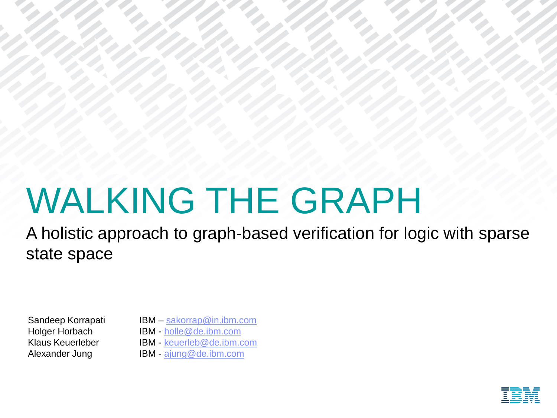# WALKING THE GRAPH

A holistic approach to graph-based verification for logic with sparse state space

- Sandeep Korrapati IBM [sakorrap@in.ibm.com](mailto:sakorrap@in.ibm.com)
- Holger Horbach IBM [holle@de.ibm.com](mailto:holle@de.ibm.com)
- Klaus Keuerleber IBM [keuerleb@de.ibm.com](mailto:keuerleb@de.ibm.com)
- Alexander Jung IBM [ajung@de.ibm.com](mailto:ajung@de.ibm.com)

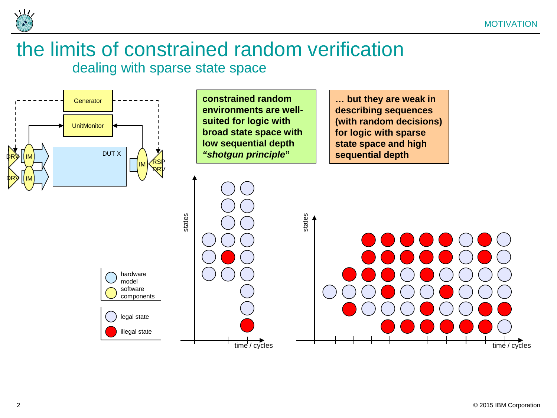

### the limits of constrained random verification dealing with sparse state space

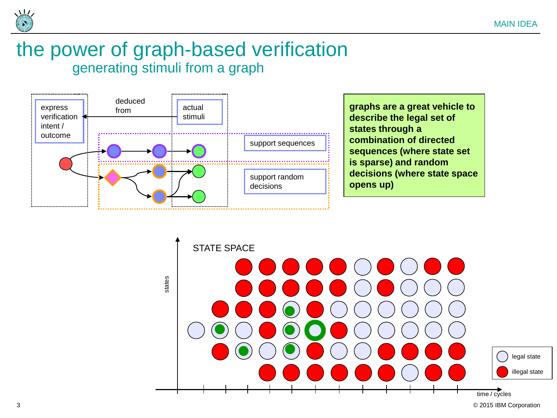

### the power of graph-based verification generating stimuli from a graph



**graphs are a great vehicle to describe the legal set of states through a combination of directed sequences (where state set is sparse) and random decisions (where state space opens up)**

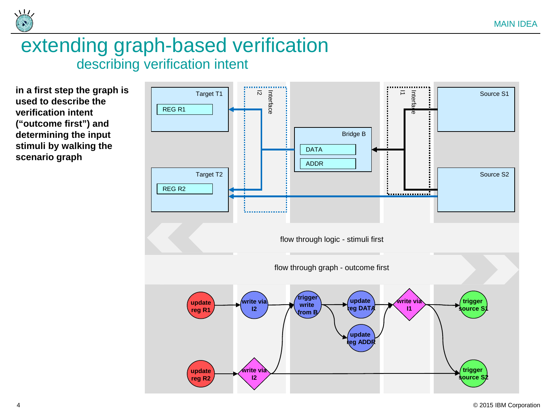

### extending graph-based verification describing verification intent

**in a first step the graph is used to describe the verification intent ("outcome first") and determining the input stimuli by walking the scenario graph**

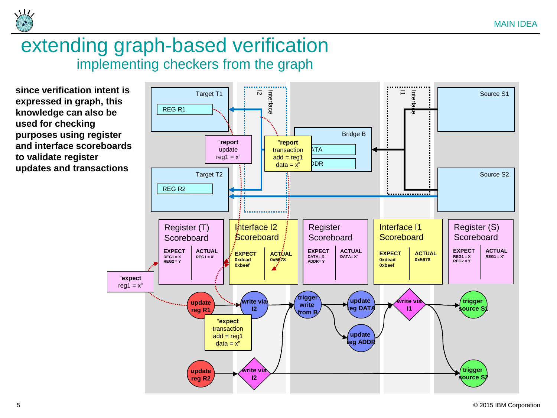

### extending graph-based verification implementing checkers from the graph

**since verification intent is expressed in graph, this knowledge can also be used for checking purposes using register and interface scoreboards to validate register updates and transactions**

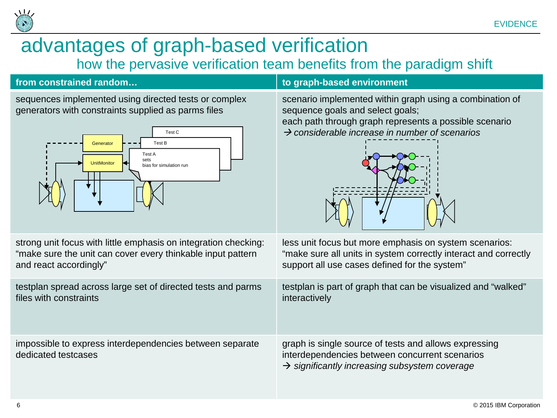

### advantages of graph-based verification how the pervasive verification team benefits from the paradigm shift

### **from constrained random… to graph-based environment**

sequences implemented using directed tests or complex generators with constraints supplied as parms files



scenario implemented within graph using a combination of sequence goals and select goals;

each path through graph represents a possible scenario *considerable increase in number of scenarios* 



 $\rightarrow$  significantly increasing subsystem coverage

strong unit focus with little emphasis on integration checking: "make sure the unit can cover every thinkable input pattern and react accordingly" less unit focus but more emphasis on system scenarios: "make sure all units in system correctly interact and correctly support all use cases defined for the system" testplan spread across large set of directed tests and parms files with constraints testplan is part of graph that can be visualized and "walked" interactively impossible to express interdependencies between separate dedicated testcases graph is single source of tests and allows expressing interdependencies between concurrent scenarios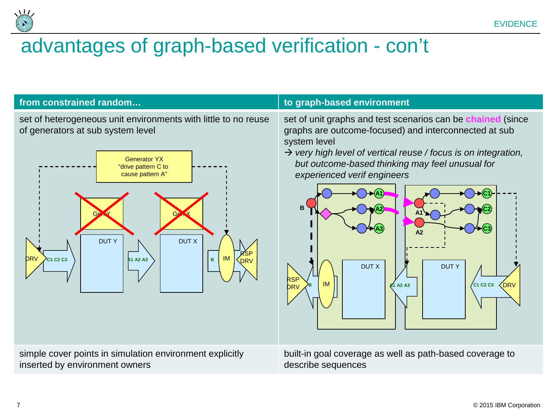

### advantages of graph-based verification - con't



7 © 2015 IBM Corporation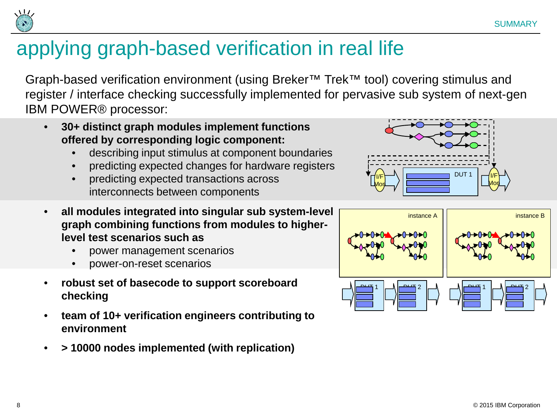

## applying graph-based verification in real life

Graph-based verification environment (using Breker™ Trek™ tool) covering stimulus and register / interface checking successfully implemented for pervasive sub system of next-gen IBM POWER® processor:

- **30+ distinct graph modules implement functions offered by corresponding logic component:**
	- describing input stimulus at component boundaries
	- predicting expected changes for hardware registers
	- predicting expected transactions across interconnects between components
- **all modules integrated into singular sub system-level graph combining functions from modules to higherlevel test scenarios such as**
	- power management scenarios
	- power-on-reset scenarios
- **robust set of basecode to support scoreboard checking**
- **team of 10+ verification engineers contributing to environment**
- **> 10000 nodes implemented (with replication)**